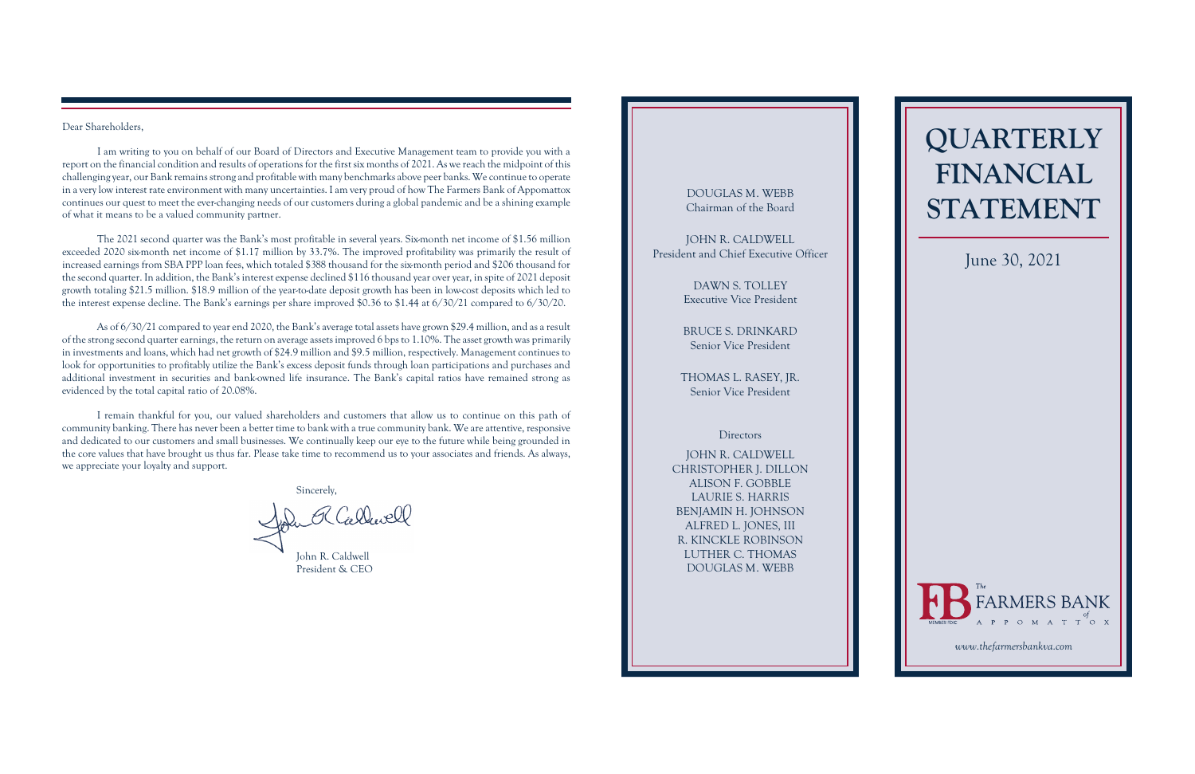# **QUARTERLY FINANCIAL STATEMENT**

#### Dear Shareholders,

I am writing to you on behalf of our Board of Directors and Executive Management team to provide you with a report on the financial condition and results of operations for the first six months of 2021. As we reach the midpoint of this challenging year, our Bank remainsstrong and profitable with many benchmarks above peer banks. We continue to operate in a verylow interest rate environment with many uncertainties. I am very proud of how The Farmers Bank of Appomattox continues our quest to meet the ever-changing needs of our customers during a global pandemic and be a shining example of what it means to be a valued community partner.

The 2021 second quarter was the Bank's most profitable in several years. Six-month net income of \$1.56 million exceeded 2020 six-month net income of \$1.17 million by 33.7%. The improved profitability was primarily the result of increased earnings from SBA PPP loan fees, which totaled \$388 thousand for the six-month period and \$206 thousand for the second quarter. In addition, the Bank's interest expense declined \$116 thousand year overyear, in spite of 2021 deposit growth totaling \$21.5 million. \$18.9 million of the year-to-date deposit growth has been in low-cost deposits which led to the interest expense decline. The Bank's earnings per share improved \$0.36 to \$1.44 at 6/30/21 compared to 6/30/20.

John R Callwell John R. Caldwell

As of 6/30/21 compared to year end 2020, the Bank's average total assets have grown \$29.4 million, and as a result of the strong second quarter earnings, the return on average assets improved 6 bps to 1.10%. The asset growth was primarily in investments and loans, which had net growth of \$24.9 million and \$9.5 million, respectively. Management continues to look for opportunities to profitably utilize the Bank's excess deposit funds through loan participations and purchases and additional investment in securities and bank-owned life insurance. The Bank's capital ratios have remained strong as evidenced by the total capital ratio of 20.08%.

I remain thankful for you, our valued shareholders and customers that allow us to continue on this path of community banking. There has never been a better time to bank with a true community bank. We are attentive, responsive and dedicated to our customers and small businesses. We continually keep our eye to the future while being grounded in the core values that have brought us thus far. Please take time to recommend us to your associates and friends. As always, we appreciate your loyalty and support.

Sincerely,

# DOUGLAS M. WEBB Chairman of the Board

JOHN R. CALDWELL President and Chief Executive Officer

> DAWN S. TOLLEY Executive Vice President

BRUCE S. DRINKARD Senior Vice President

THOMAS L. RASEY, JR. Senior Vice President

### **Directors**

JOHN R. CALDWELL CHRISTOPHER J. DILLON ALISON F. GOBBLE LAURIE S. HARRIS BENJAMIN H. JOHNSON ALFRED L. JONES, III R. KINCKLE ROBINSON LUTHER C. THOMAS DOUGLAS M. WEBB

# June 30, 2021



President & CEO

*[www.thefarmersbankva.com](https://www.thefarmersbankva.com)*